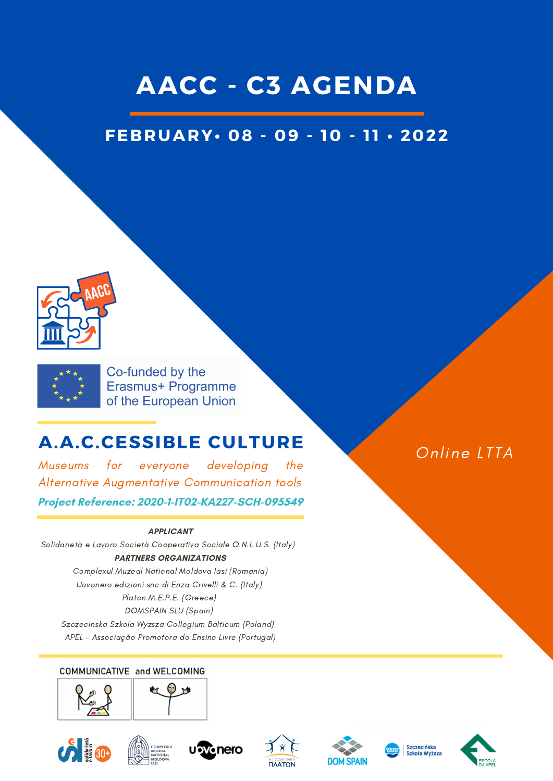## **AACC - C3 AGENDA**

## **FEBRUARY• 08 - 09 - 10 - 1 1 • 2022**





Co-funded by the Erasmus+ Programme of the European Union

## **A.A.C.CESSIBLE CULTURE**

Museums for everyone developing the Alternative Augmentative Communication tools

#### **Project Reference: 2020-1-IT02-KA227-SCH-095549**

#### **APPLICANT**

Solidarietà e Lavoro Società Cooperativa Sociale O.N.L.U.S. (Italy) **PARTNERS ORGANIZATIONS**

Complexul Muzeal National Moldova Iasi (Romania) Uovonero edizioni snc di Enza Crivelli & C. (Italy) Platon M.E.P.E. (Greece) DOMSPAIN SLU (Spain) Szczecinska Szkola Wyzsza Collegium Balticum (Poland)

APEL - Associação Promotora do Ensino Livre (Portugal)

#### COMMUNICATIVE and WELCOMING



















Online LTTA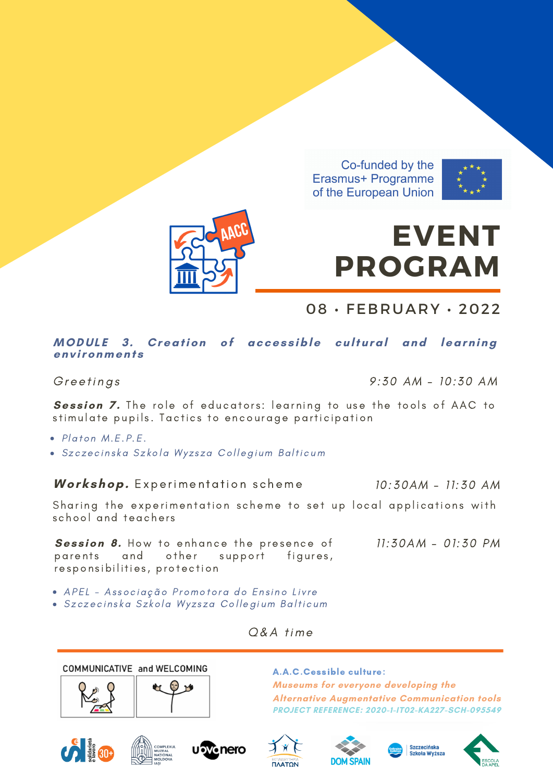Co-funded by the Erasmus+ Programme of the European Union



# **EVENT PROGRAM**

08 • FEBRUARY • 2022

#### **MODUL E 3. Creation of acces s ible cultural and learning env ironment s**

Greetings 30 AM - 10:30 AM

10:30AM - 11:30 AM

**Session 7.** The role of educators: learning to use the tools of AAC to stimulate pupils. Tactics to encourage participation

- Platon M.E.P.E.
- · Szczecinska Szkola Wyzsza Collegium Balticum

*Workshop.* Experimentation scheme

Sharing the experimentation scheme to set up local applications with school and teachers

**Session 8.** How to enhance the presence of parents and other support figures, responsibilities, protection 11:30AM - 01:30 PM

- · APEL Associação Promotora do Ensino Livre
- · Szczecinska Szkola Wyzsza Collegium Balticum

A.A.C.Cessible culture: **Museums for everyone developing the Alternative Augmentative Communication tools PROJECT REFERENCE: 2020-1-IT02-KA227-SCH-095549**



COMMUNICATIVE and WELCOMING















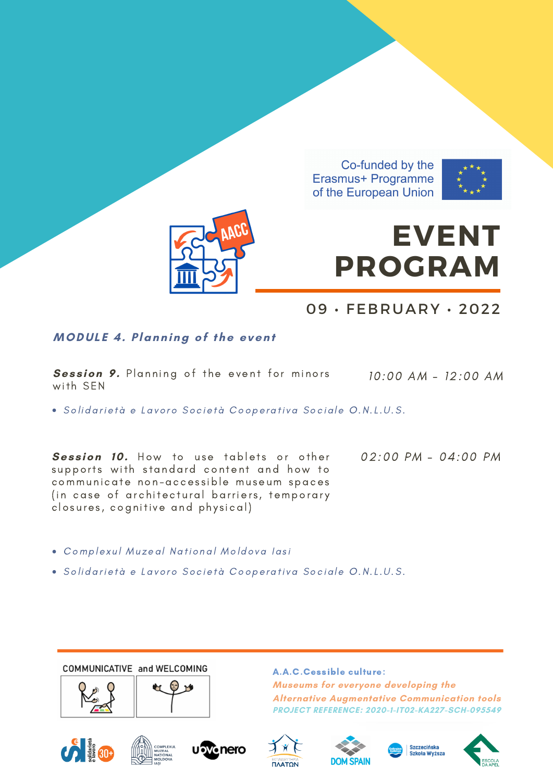Co-funded by the Erasmus+ Programme of the European Union





# **EVENT PROGRAM**

### 09 • FEBRUARY • 2022

### **MODUL E 4. Planning of the event**

**Session 9.** Planning of the event for minors 10:00 AM - 12:00 AM with SEN

· Solidarietà e Lavoro Società Cooperativa Sociale O.N.L.U.S.

**Session 10.** How to use tablets or other supports with standard content and how to communicate non-accessible museum spaces (in case of architectural barriers, temporary closures, cognitive and physical)

02:00 PM - 04:00 PM

- Complexul Muzeal National Moldova Iasi
- · Solidarietà e Lavoro Società Cooperativa Sociale O.N.L.U.S.

COMMUNICATIVE and WELCOMING











**Museums for everyone developing the**

**Alternative Augmentative Communication tools PROJECT REFERENCE: 2020-1-IT02-KA227-SCH-095549**

A.A.C.Cessible culture:



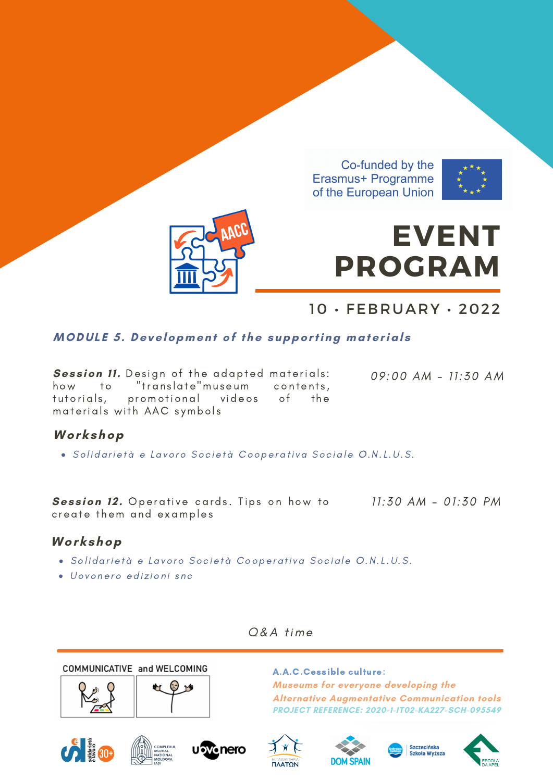



# **EVENT PROGRAM**

10 • FEBRUARY • 2022

### **MODUL E 5. Development of the supporting material s**

**Session 11.** Design of the adapted materials: how to "translate"museum contents, tutorials, promotional videos of the materials with AAC symbols

09 :00 AM - 11:30 AM

### **Workshop**

· Solidarietà e Lavoro Società Cooperativa Sociale O.N.L.U.S.

**Ses s ion 1 2 .** Operati ve cards . T ips on how to create them and examples

11:30 AM - 01:30 PM

### **Workshop**

- · Solidarietà e Lavoro Società Cooperativa Sociale O.N.L.U.S.
- · Uovonero edizioni snc

Q&A time

COMMUNICATIVE and WELCOMING



A.A.C.Cessible culture: **Museums for everyone developing the Alternative Augmentative Communication tools PROJECT REFERENCE: 2020-1-IT02-KA227-SCH-095549**